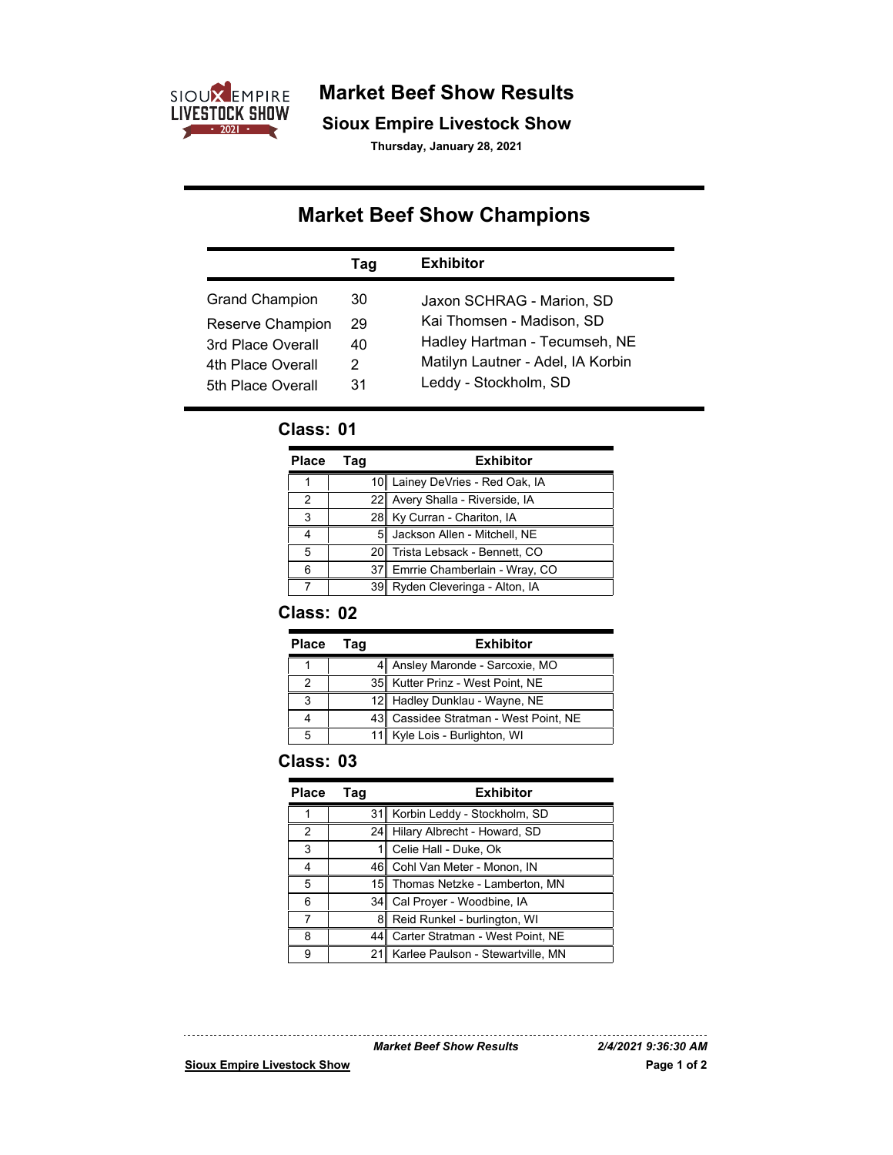

**Market Beef Show Results**

**Sioux Empire Livestock Show**

**Thursday, January 28, 2021**

# **Market Beef Show Champions**

|                       | Tag | <b>Exhibitor</b>                  |
|-----------------------|-----|-----------------------------------|
| <b>Grand Champion</b> | 30  | Jaxon SCHRAG - Marion, SD         |
| Reserve Champion      | 29  | Kai Thomsen - Madison, SD         |
| 3rd Place Overall     | 40  | Hadley Hartman - Tecumseh, NE     |
| 4th Place Overall     | 2   | Matilyn Lautner - Adel, IA Korbin |
| 5th Place Overall     | 31  | Leddy - Stockholm, SD             |

# **Class: 01**

| Place | Taq   | <b>Exhibitor</b>                 |
|-------|-------|----------------------------------|
| 1     |       | 10 Lainey DeVries - Red Oak, IA  |
| 2     | 221   | Avery Shalla - Riverside, IA     |
| 3     |       | 28 Ky Curran - Chariton, IA      |
| 4     |       | 5 Jackson Allen - Mitchell, NE   |
| 5     |       | 20 Trista Lebsack - Bennett, CO  |
| 6     |       | 37 Emrrie Chamberlain - Wray, CO |
|       | 39II. | Ryden Cleveringa - Alton, IA     |

# **Class: 02**

| <b>Place</b> | Taq | <b>Exhibitor</b>                      |
|--------------|-----|---------------------------------------|
|              |     | 4 Ansley Maronde - Sarcoxie, MO       |
| 2            |     | 35 Kutter Prinz - West Point, NE      |
|              |     | 12 Hadley Dunklau - Wayne, NE         |
|              |     | 43 Cassidee Stratman - West Point, NE |
|              |     | 11 Kyle Lois - Burlighton, WI         |

#### **Class: 03**

| Place | Tag | <b>Exhibitor</b>                      |
|-------|-----|---------------------------------------|
|       | 31  | Korbin Leddy - Stockholm, SD          |
| 2     | 241 | Hilary Albrecht - Howard, SD          |
| 3     |     | Celie Hall - Duke, Ok                 |
| 4     |     | 46 Cohl Van Meter - Monon, IN         |
| 5     |     | 15 Thomas Netzke - Lamberton, MN      |
| 6     |     | 34 Cal Proyer - Woodbine, IA          |
| 7     | 81  | Reid Runkel - burlington, WI          |
| 8     | 44  | Carter Stratman - West Point, NE      |
| 9     |     | 21∥ Karlee Paulson - Stewartville, MN |

*Market Beef Show Results 2/4/2021 9:36:30 AM*